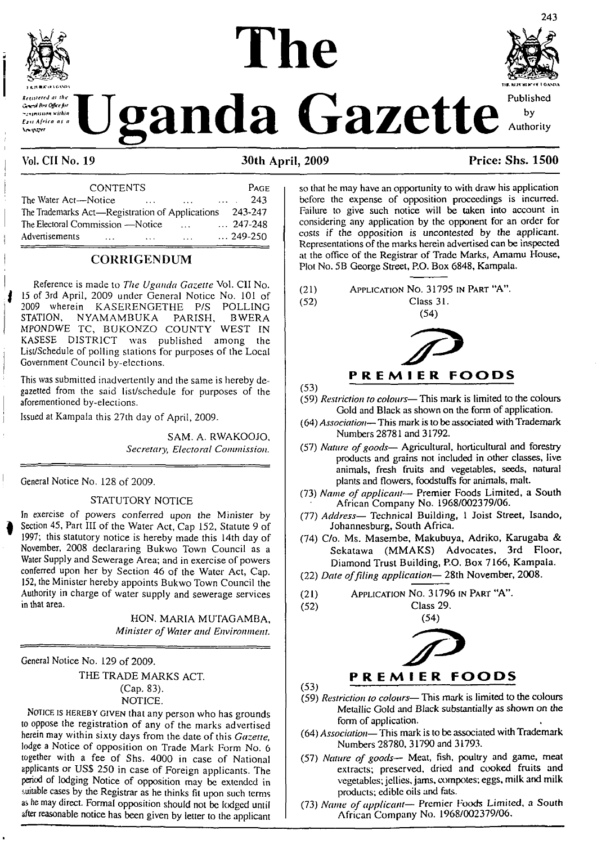

Resistened at the Comed Are Office for e viri

# The

**Janda Gazette** Authority by Authority

243

**Vol. CII No. 19 30th April, 2009 Price: Shs. 1500**

| <b>CONTENTS</b>                                 | PAGE             |  |
|-------------------------------------------------|------------------|--|
| The Water Act-Notice<br>$\cdots$<br>$\cdots$    | 243<br>$\cdots$  |  |
| The Trademarks Act—Registration of Applications | 243-247          |  |
| The Electoral Commission —Notice<br>$\cdots$    | $\ldots$ 247-248 |  |
| Advertisements<br>$\cdots$<br>$\cdots$          | $\ldots$ 249-250 |  |

#### **CORRIGENDUM**

Reference is macle to *The Uganda Gazette* Vol. CII No. <sup>15</sup> of 3rd April, 2009 under General Notice No. 101 of 2009 wherein KASERENGETHE P/S POLLING<br>STATION, NYAMAMBUKA PARISH, BWERA NYAMAMBUKA PARISH, MPONDWE TC, BUKONZO COUNTY WEST IN KASESE DISTRICT was published among the List/Schedule of polling stations for purposes of the Local Government Council by-elections.

This was submitted inadvertently and the same is hereby degazetted from the said list/schedule for purposes of the aforementioned by-elections.

Issued at Kampala this 27th day of April, 2009.

SAM. A. RWAKOOJO, *Secretary, Electoral Commission.*

General Notice No. 128 of 2009.

#### STATUTORY NOTICE

In exercise of powers conferred upon the Minister by Section 45, Part III of the Water Act, Cap 152, Statute 9 of 1997; this statutory notice is hereby made this 14th day of November, 2008 declararing Bukwo Town Council as a Water Supply and Sewerage Area; and in exercise of powers conferred upon her by Section 46 of the Water Act, Cap. 152, the Minister hereby appoints Bukwo Town Council the Authority in charge of water supply and sewerage services in that area.

> HON. MARIA MUTAGAMBA, *Minister of Water and Environment.*

General Notice No. 129 of 2009.

THE TRADE MARKS ACT. (Cap. 83). NOTICE.

Notice is hereby given that any person who has grounds to oppose lhe registration of any of the marks advertised herein may within sixty days from the date of this *Gazette,* lodge <sup>a</sup> Notice of opposition on Trade Mark Form No. 6 together with a fee of Shs. 4000 in case of National applicants or USS 250 in case of Foreign applicants. The penod of lodging Notice of opposition may be extended in suitable cases by the Registrar as he thinks fit upon such terms as he may direct. Formal opposition should not be lodged until after reasonable notice has been given by letter to the applicant

so that he may have an opportunity to with draw his application before the expense of opposition proceedings is incurred. Failure to give such notice will be taken into account in considering any application by the opponent for an order for costs if (he opposition is uncontested by the applicant. Representations of the marks herein advertised can be inspected at the office of the Registrar of Trade Marks, Amamu House, Plot No. 5B George Street, P.O. Box 6848, Kampala.

(21) Application No. 31795 in Part "A".<br>(52) Class 31. Class 31.

(54)



(53)

- (59) *Restriction to colours—* This mark is limited to the colours Gold and Black as shown on the form of application.
- (64) *Association—* This mark is to be associated with Trademark Numbers 28781 and 31792.
- (57) *Nature ofgoods—* Agricultural, horticultural and forestry products and grains not included in other classes, live animals, fresh fruits and vegetables, seeds, natural plants and flowers, foodstuffs for animals, malt.
- (73) *Name of applicant—* Premier Foods Limited, a South African Company No. 1968/002379/06.
- (77) *Address—* Technical Building, <sup>1</sup> Joist Street, Isando, Johannesburg, South Africa.
- (74) C/o. Ms. Masembe, Makubuya, Adriko, Karugaba & Sekatawa (MMAKS) Advocates, 3rd Floor, Diamond Trust Building, P.O. Box 7166, Kampala.
- (22) *Date offding application—* 28th November, 2008.
- (21) Application No. 31796 in Part "A".
- (52) Class 29.



- (53) --------------------------------------------------- (59) *Restriction to colours—* This mark is limited to the colours Metallic Gold and Black substantially as shown on the form of application.
- (64) *Association—*This mark is to be associated with Trademark Numbers 28780, 31790 and 31793.
- (57) *Nature of goods—* Meat, fish, poultry and game, meat extracts; preserved, dried and cooked fruits and vegetables; jellies, jams, compotes; eggs, milk and milk products; edible oils and fats.
- (73) *Name of applicant—* Premier Foods Limited, a South African Company No. 1968/002379/06.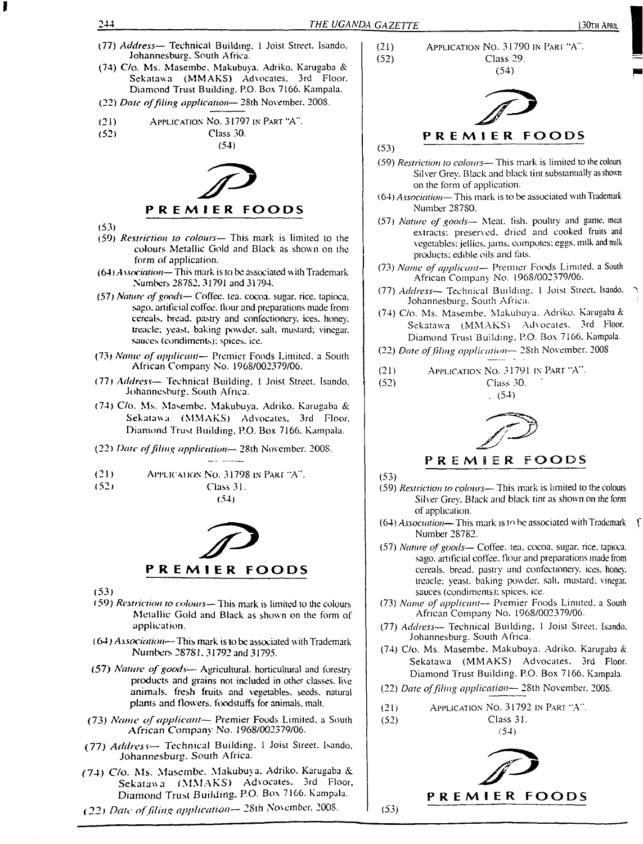- (77) *Address—* Technical Building. <sup>1</sup> Joist Street. Isando. Johannesburg. South Africa.
- (74) C/o. Ms. Masembe. Makubuya. Adriko. Karugaba & Sekatawa (MMAKS) Advocates. 3rd Floor. Diamond Trust Building. P.O. Box 7166. Kampala.
- (22) *Date offiling application—* 2Sth November. 2008.
- (21) APPLICATION NO. 31797 IN PART "A".<br>(52) Class 30.
- Class 30.

(54)



- (53)
- (59) *Restriction to colours—* This mark is limited to the colours Metallic Gold and Black as shown on the form of application.
- $(64)$  Association— This mark is to be associated with Trademark Numbers 28782, 31791 and 31794.
- (57) *Nature ofgoods—* Coffee, tea. cocoa, sugar, rice, tapioca, sago, artificial coffee. Hour and preparations made from cereals, bread, pastry and confectionery, ices, honey, treacle; yeast, baking powder, salt, mustard; vinegar, sauces (condiments); spices, ice.
- (73) *Name of applicant—* Premier Foods Limited, <sup>a</sup> South African Company No. 1968/002379/06.
- (77) *Address—* Technical Building. <sup>1</sup> Joist Street. Isando. Johannesburg, South Africa.
- (74) C/o. Ms. Masembe. Makubuya. Adriko. Karugaba & Sekatawa (MMAKS) Advocates, 3rd Floor. Diamond Trust Building, P.O. Box 7166. Kampala.
- (22) *Date offiling application—* 28th November. 2008.
- (21) Application No. 31798 in Part "A".
- (52) Class 31.
- (54)



(53)

- (59) *Restriction to colours—* 7 his mark is limited to the colours Metallic Gold and Black as shown on the form of application.
- (64) *Association* This mark is to be associated with Trademark Numbers 28781. 31792 and 31795.
- (57) *Nature ofgoods—* Agricultural, horticultural and forestry products and grains not included in other classes, live animals, fresh fruits and vegetables, seeds, natural plants and flowers, foodstuffs for animals, malt.
- (73) *Name of applicant—* Premier Foods Limited, <sup>a</sup> South African Company No. 1968/002379/06.
- (77) *Address—* Technical Building. <sup>I</sup> Joist Street. Isando. Johannesburg. South Africa.
- (74) C/o. Ms. Masembe. Makubuya. Adriko. Karugaba &. Sekatawa (MMAKS) Advocates. 3rd Floor. Diamond Trust Building. P.O. Box 7166. Kampala.
- (22) *Date offiling application—* 28th November. 2008.



(54)



 $(53)$   $\qquad \qquad$ 

- (59) *Restriction to colours—* This mark is limited to the colours Silver Grey. Black and black tint substantially as shown on the form of application.
- (64) *Association—* This mark is to be associated with Trademark Number 28780.
- (57) *Nature of goods—* Meat. fish, poultry and game, meat extracts; preserved, dried and cooked fruits and vegetables; jellies, jams, compotes; eggs, milk and milk products; edible oils and fats.
- (73) *Name ofapplicant—* Premier Foods Limited, <sup>a</sup> South African Company No. 1968/002379/06.
- (77) *Address—* Technical Building. <sup>1</sup> Joist Street. Isando. Johannesburg, South Africa.
- (74) C/o. Ms. Masembe. Makubuya. Adriko. Karugaba & Sekatawa (MMAKS) Advocates. 3rd Floor. Diamond Trust Building. P.O. Box 7166. Kampala.

(22) *Date offiling application—* 2Sth November. <sup>2008</sup>

(21) Application No. 31791 in Part "A". (52) Class 30. '



#### **PREMIER FOODS**

(53)

- (59) *Restriction to colours—* This mark is limited to the colours Silver Grey. Black and black tint as shown on the form of application.
- (64) *Association—* This mark is tn be associated with Trademark f Number 28782.
- (57) *Nature of goods—* Coffee, tea. cocoa, sugar, rice, (apioca. sago, artificial coffee, flour and preparations made from cereals, bread, pastry and confectionery, ices, honey, treacle; yeast, baking powder, salt, mustard; vinegar, sauces (condiments); spices, ice.
- (73) *Name of applicant—* Premier Foods Limited, <sup>a</sup> South African Company No. 1968/002379/06.
- (77) *Address—* Technical Building. <sup>1</sup> Joist Street. Isando. Johannesburg. South Africa.
- (74) C/o. Ms. Masembe. Makubuya. Adriko. Karugaba & Sekatawa (MMAKS) Advocates. 3rd Floor. Diamond Trust Building. P.O. Box 7166. Kampala.
- (22) *Date offiling application—* 28th November. 200S.
- (21) Application No. 31792 in Part "A". (52) Class 31.

(54)



Bl I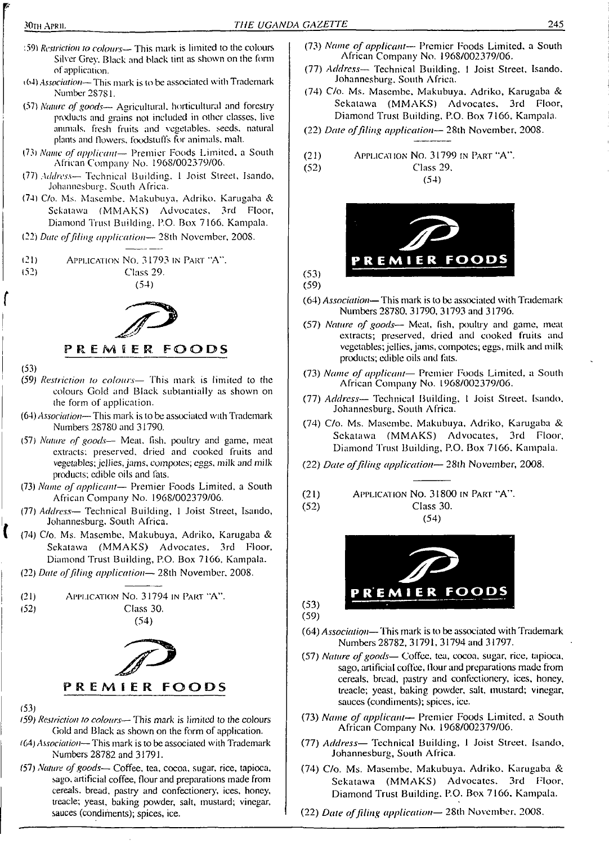- <sup>1</sup>59) *Restriction to colours—* This mark is limited to the colours Silver Grey. Black and black lint as shown on the form of application.
- <sup>1</sup>64) *Association—*This mark is to be associated with Trademark Number 28781.
- (57) *Nature ofgoods—* Agricultural, horticultural and forestry products and grains not included in other classes, live animals, fresh fruits and vegetables, seeds, natural plants and flowers, foodstuffs for animals, malt.
- *{13} Name of applicant—* Premier Foods Limited, a South African Company No. 1968/002379/06.
- (77) *Address—* Technical Building. <sup>1</sup> Joist Street, Isando, Johannesburg. South Africa.
- (74) C/o. Ms. Masembe. Makubuya. Adriko. Karugaba & Sekatawa (MMAKS) Advocates, 3rd Floor, Diamond Trust Building. P.O. Box 7166. Kampala.
- (22) *Date offiling application—* 28th November, 200S.
- (21) Application No. 31793 in Part 'A".

(52) Class 29.

(54)



(53)

- (59) *Restriction to colours—* This mark is limited to the colours Gold and Black sublantially as shown on the form of application.
- (64) *Association—* This mark is to be associated with Trademark Numbers 28780 and 31790.
- (.57) *Nature of goods—* Meal, fish, poultry and game, meat extracts: preserved, dried and cooked fruits and vegetables; jellies,jams, compotes; eggs, milk and milk products; edible oils and fats.
- (73) *Name of applicant—* Premier Foods Limited, a South African Company No. 1968/002379/06.
- (77) *Address—* Technical Building, <sup>1</sup> Joist Street, Isando, Johannesburg. South Africa.
- (74) C/o. Ms. Masembe, Makubuya, Adriko, Karugaba & Sekatawa (MMAKS) Advocates, 3rd Floor, Diamond Trust Building, P.O. Box 7166. Kampala.
- (22) *Date offiling application—* 28th November. 2008.





<sup>(53)</sup>

- *(59) Restriction to colours—* This mark is limited to the colours Gold and Black as shown on the form of application.
- <sup>f</sup>64) *Association—* This mark is to be associated with Trademark Numbers 28782 and 31791.
- (57) *Nature ofgoods—* Coffee, tea, cocoa, sugar, rice, tapioca, sago, artificial coffee, flour and preparations made from cereals, bread, pastry and confectionery, ices, honey, treacle; yeast, baking powder, salt, mustard; vinegar, sauces (condiments); spices, ice.
- (73) *Name of applicant—* Premier Foods Limited, a South African Company No. 1968/002379/06.
- (77) *Address—* Technical Building. <sup>1</sup> Joist Street, Isando. Johannesburg. South Africa.
- (74) C/o. Ms. Masembe, Makubuya. Adriko, Karugaba & Sekatawa (MMAKS) Advocates, 3rd Floor, Diamond Trust Building, P.O. Box 7166, Kampala.
- (22) *Date offiling application—* 28th November, 2008.

(21) Application No. 31799 in Part "A".

(52) Class 29. (54)



- (64) *Association—*This mark is to be associated with Trademark Numbers 28780, 31790, 31793 and 31796.
- (57) *Nature of goods—* Meat, fish, poultry and game, meat extracts; preserved, dried and cooked fruits and vegetables; jellies, jams, compotes; eggs, milk and milk products; edible oils and fats.
- (73) *Name of applicant—* Premier Foods Limited, a South African Company No. 1968/002379/06.
- (77) *Address—* Technical Building, <sup>1</sup> Joist Street. Isando. Johannesburg, Soulh Africa.
- (74) C/o. Ms. Masembe. Makubuya, Adriko, Karugaba & Sekatawa (MMAKS) Advocates, 3rd Floor, Diamond Trust Building, P.O. Box 7166. Kampala.
- (22) *Date offiling application—* 28lh *November,* 2008.

$$
(21) \t\t\tAPPLICATION NO. 31800 IN PART "A".
$$

(52) Class 30. (54)



 $(53)$ (59)

(59)

 $(53)$ 

- (64) *Association—* This mark is to be associated with Trademark Numbers 28782, 31791, 31794 and 31797.
- (57) *Nature ofgoods—* Coffee, tea, cocoa, sugar, rice, tapioca, sago, artificial coffee, flour and preparations made from cereals, bread, pastry and confectionery, ices, honey, treacle; yeast, baking powder, salt, mustard; vinegar, sauces (condiments); spices, ice.
- (73) *Name of applicant—* Premier Foods Limited, a South African Company No. 1968/002379/06.
- (77) *Address—* Technical Building, <sup>1</sup> Joist Street. Isando. Johannesburg, South Africa.
- (74) C/o. Ms. Masembe. Makubuya. Adriko. Karugaba & Sekatawa (MMAKS) Advocates. 3rd Floor. Diamond Trust Building. P.O. Box 7166. Kampala.
- (22) *Date offiling application—* 28th November. 2008.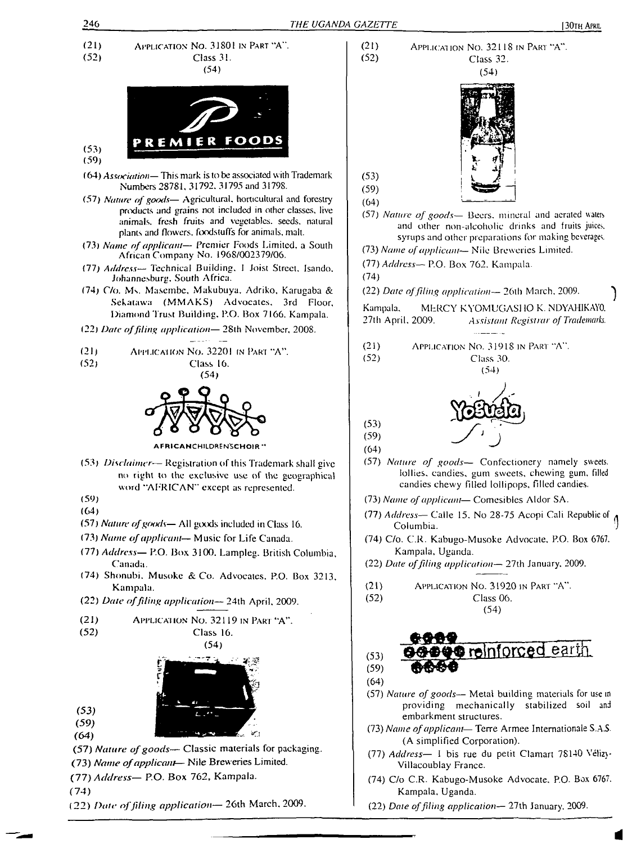Class 32.

(54)

(54)

(54)

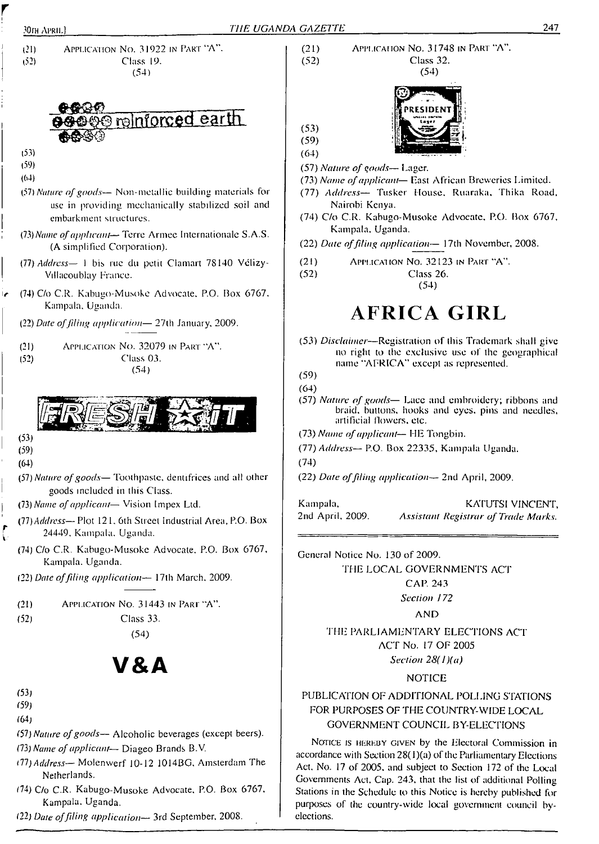

(54)

# **V&A**

(53)

*r* i-

- (59)
- (64)
- (57) *Nature ofgoods—* Alcoholic beverages (except beers).
- (73) *Name ofapplicant* Diageo Brands B.V.
- *Hl) Address—* Molenwerf 10-12 1014BG. Amsterdam The Netherlands.
- (74) C/o C.R. Kabugo-Musoke Advocate, P.O. Box 6767. Kampala. Uganda.
- (22) *Date offiling application—* 3rd September. 2008.

(21) Application No. 31748 in Part "A". (52) Class 32.

(54)

$$
\begin{array}{c}\n(53) \\
(59)\n\end{array}
$$



- (57) *Nature ofgoods—* Lager.
- (73) *Name ofapplicant—* Last African Breweries Limited.
- (77) *Address—* Tusker House. Ruaraka, Thika Road, Nairobi Kenya.
- (74) C/o C.R. Kabugo-Musoke Advocate. P.O. Box 6767, Kampala, Uganda.
- (22) *Date offiling application—* 17th November, 2008.
- (21) Application No. 32123 in Part "A".
- (52) Class 26.

(54)

# **AFRICA GIRL**

(53) *Disclaimer—*Registration of this Trademark shall give no right to lhe exclusive use of the geographical name "AFRICA" except as represented.

- (57) *Nature of goods—* Lace and embroidery; ribbons and braid, buttons, hooks and eyes, pins and needles, artificial flowers, etc.
- (73) *Name ofapplicant—* HE Tongbin.
- (77) *Address—* P.O. Box 22335, Kampala Uganda.

(74)

(22) *Date offiling application—* 2nd April, 2009.

Kampala, 2nd April. 2009. KATUTSI VINCENT, *Assistant Registrar ofTrade Marks.*

General Notice No. 130 of 2009.

THE LOCAL GOVERNMENTS ACT

CAP. 243

*Section 172*

AND

THE PARLIAMENTARY ELECTIONS ACT ACT No. 17 OF 2005 *Section 28(l)(a)*

#### NOTICE

#### PUBLICATION OF ADDITIONAL POLLING STATIONS FOR PURPOSES OF THE COUNTRY-WIDE LOCAL GOVERNMENT COUNCIL BY-ELECTIONS

Notice is hereby given by the Electoral Commission in accordance with Section  $28(1)(a)$  of the Parliamentary Elections Act. No. 17 of 2005. and subject to Section 172 of the Local Governments Act, Cap. 243, that the list of additional Polling Stations in the Schedule to this Notice is hereby published for purposes of the country-wide local government council byelections.

<sup>(59)</sup>

<sup>(64)</sup>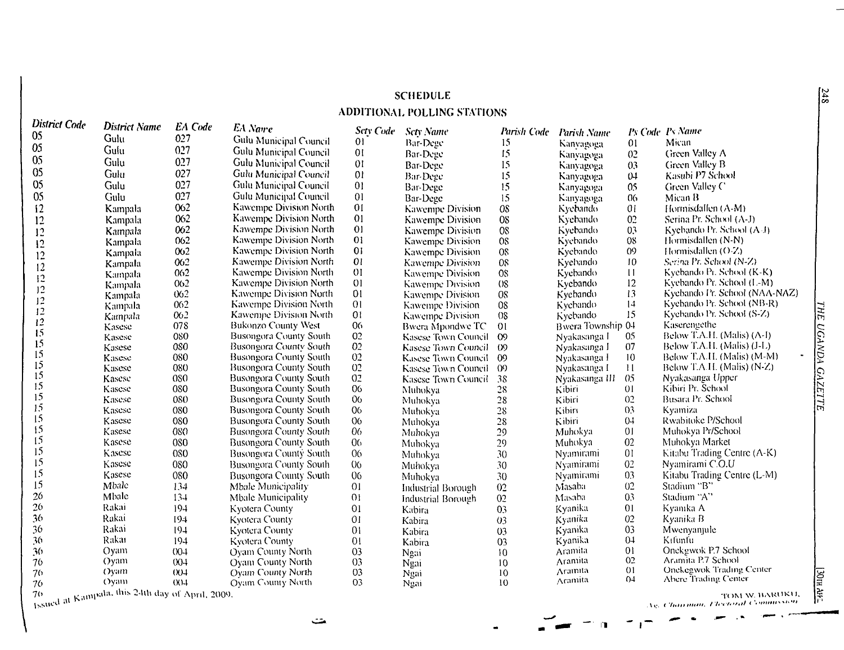#### **SCHEDULE**

#### **ADDITIONAL POLLING STATIONS**

| <b>District Name</b><br><b>EA</b> Name<br><b>Sety Code</b><br>Ps Code Ps Name<br><b>Scty Name</b><br>Parish Code<br><b>Parish Name</b><br>05<br>027<br>Gulu<br>Gulu Municipal Council<br>$_{01}$<br>Mican<br>Bar-Dege<br>15.<br>01<br>Kanyagoga<br>05<br>027<br>Gulu<br>Gulu Municipal Council<br>01<br>15<br>Green Valley A<br>Bar-Dege<br>0 <sup>2</sup><br>Kanyagoga<br>0 <sub>5</sub><br>027<br>Gulu<br><b>Gulu Municipal Council</b><br>01<br>Green Valley B<br>15<br>0 <sub>3</sub><br>Bar-Dege<br>Kanyagoga<br>$05\,$<br>027<br>Gulu<br>Gulu Municipal Council<br>0 <sub>l</sub><br>Kasubi P7 School<br>Bar-Dege<br>15<br>04<br>Kanyagoga<br>05<br>027<br>Gulu<br>01<br>Gulu Municipal Council<br>15<br>Green Valley C<br>05<br>Bar-Dege<br>Kanyagoga<br>027<br>05<br>Gulu Municipal Council<br>01<br>Gulu<br>15<br>06<br>Mican B<br>Bar-Dege<br>Kanyagoga<br>062<br>01<br>Kawempe Division North<br>12<br>01<br>Hormisdallen (A-M)<br>Kampala<br>OS<br>Kawempe Division<br>Kyebando<br>062<br>01<br>Kawempe Division North<br>08<br>02<br>Serina Pr. School (A-J)<br>12<br>Kyebando<br>Kampala<br>Kawempe Division<br>01<br>062<br>Kawempe Division North<br>08<br>03<br>Kyebando Pr. School (A-J)<br>Kyebando<br>12<br>Kawempe Division<br>Kampala<br>062<br>Kawempe Division North<br>01<br>OS.<br>08<br>Hormisdallen (N-N)<br>Kyebando<br>Kawempe Division<br>12<br>Kampala<br>01<br>0 <sub>0</sub><br>Kawempe Division North<br>09<br>Hormisdallen $(0, Z)$<br>08<br>Kyebando<br>Kawempe Division<br>Kampala<br>12<br>062<br>01<br>Kawempe Division North<br>10<br>Serina Pr. School (N-Z)<br>OS<br>Kyebando<br>Kawempe Division<br>Kampala<br>$12 \,$<br>0 <sub>0</sub> 2<br>Kawempe Division North<br>01<br>$\overline{11}$<br>Kyebando Pr. School (K-K)<br>$08\,$<br>Kyebando<br>Kawempe Division<br>Kampala<br>$\begin{array}{c} 12 \\ 12 \end{array}$<br>01<br>12<br>Kyebando Pr. School (L-M)<br>062<br>Kawempe Division North<br>08<br>Kyebando<br>Kawempe Division<br>Kampala |                               |
|---------------------------------------------------------------------------------------------------------------------------------------------------------------------------------------------------------------------------------------------------------------------------------------------------------------------------------------------------------------------------------------------------------------------------------------------------------------------------------------------------------------------------------------------------------------------------------------------------------------------------------------------------------------------------------------------------------------------------------------------------------------------------------------------------------------------------------------------------------------------------------------------------------------------------------------------------------------------------------------------------------------------------------------------------------------------------------------------------------------------------------------------------------------------------------------------------------------------------------------------------------------------------------------------------------------------------------------------------------------------------------------------------------------------------------------------------------------------------------------------------------------------------------------------------------------------------------------------------------------------------------------------------------------------------------------------------------------------------------------------------------------------------------------------------------------------------------------------------------------------------------------------------------------------------------------------------------------------------------------------------|-------------------------------|
|                                                                                                                                                                                                                                                                                                                                                                                                                                                                                                                                                                                                                                                                                                                                                                                                                                                                                                                                                                                                                                                                                                                                                                                                                                                                                                                                                                                                                                                                                                                                                                                                                                                                                                                                                                                                                                                                                                                                                                                                   |                               |
|                                                                                                                                                                                                                                                                                                                                                                                                                                                                                                                                                                                                                                                                                                                                                                                                                                                                                                                                                                                                                                                                                                                                                                                                                                                                                                                                                                                                                                                                                                                                                                                                                                                                                                                                                                                                                                                                                                                                                                                                   |                               |
|                                                                                                                                                                                                                                                                                                                                                                                                                                                                                                                                                                                                                                                                                                                                                                                                                                                                                                                                                                                                                                                                                                                                                                                                                                                                                                                                                                                                                                                                                                                                                                                                                                                                                                                                                                                                                                                                                                                                                                                                   |                               |
|                                                                                                                                                                                                                                                                                                                                                                                                                                                                                                                                                                                                                                                                                                                                                                                                                                                                                                                                                                                                                                                                                                                                                                                                                                                                                                                                                                                                                                                                                                                                                                                                                                                                                                                                                                                                                                                                                                                                                                                                   |                               |
|                                                                                                                                                                                                                                                                                                                                                                                                                                                                                                                                                                                                                                                                                                                                                                                                                                                                                                                                                                                                                                                                                                                                                                                                                                                                                                                                                                                                                                                                                                                                                                                                                                                                                                                                                                                                                                                                                                                                                                                                   |                               |
|                                                                                                                                                                                                                                                                                                                                                                                                                                                                                                                                                                                                                                                                                                                                                                                                                                                                                                                                                                                                                                                                                                                                                                                                                                                                                                                                                                                                                                                                                                                                                                                                                                                                                                                                                                                                                                                                                                                                                                                                   |                               |
|                                                                                                                                                                                                                                                                                                                                                                                                                                                                                                                                                                                                                                                                                                                                                                                                                                                                                                                                                                                                                                                                                                                                                                                                                                                                                                                                                                                                                                                                                                                                                                                                                                                                                                                                                                                                                                                                                                                                                                                                   |                               |
|                                                                                                                                                                                                                                                                                                                                                                                                                                                                                                                                                                                                                                                                                                                                                                                                                                                                                                                                                                                                                                                                                                                                                                                                                                                                                                                                                                                                                                                                                                                                                                                                                                                                                                                                                                                                                                                                                                                                                                                                   |                               |
|                                                                                                                                                                                                                                                                                                                                                                                                                                                                                                                                                                                                                                                                                                                                                                                                                                                                                                                                                                                                                                                                                                                                                                                                                                                                                                                                                                                                                                                                                                                                                                                                                                                                                                                                                                                                                                                                                                                                                                                                   |                               |
|                                                                                                                                                                                                                                                                                                                                                                                                                                                                                                                                                                                                                                                                                                                                                                                                                                                                                                                                                                                                                                                                                                                                                                                                                                                                                                                                                                                                                                                                                                                                                                                                                                                                                                                                                                                                                                                                                                                                                                                                   |                               |
|                                                                                                                                                                                                                                                                                                                                                                                                                                                                                                                                                                                                                                                                                                                                                                                                                                                                                                                                                                                                                                                                                                                                                                                                                                                                                                                                                                                                                                                                                                                                                                                                                                                                                                                                                                                                                                                                                                                                                                                                   |                               |
|                                                                                                                                                                                                                                                                                                                                                                                                                                                                                                                                                                                                                                                                                                                                                                                                                                                                                                                                                                                                                                                                                                                                                                                                                                                                                                                                                                                                                                                                                                                                                                                                                                                                                                                                                                                                                                                                                                                                                                                                   |                               |
|                                                                                                                                                                                                                                                                                                                                                                                                                                                                                                                                                                                                                                                                                                                                                                                                                                                                                                                                                                                                                                                                                                                                                                                                                                                                                                                                                                                                                                                                                                                                                                                                                                                                                                                                                                                                                                                                                                                                                                                                   |                               |
|                                                                                                                                                                                                                                                                                                                                                                                                                                                                                                                                                                                                                                                                                                                                                                                                                                                                                                                                                                                                                                                                                                                                                                                                                                                                                                                                                                                                                                                                                                                                                                                                                                                                                                                                                                                                                                                                                                                                                                                                   |                               |
|                                                                                                                                                                                                                                                                                                                                                                                                                                                                                                                                                                                                                                                                                                                                                                                                                                                                                                                                                                                                                                                                                                                                                                                                                                                                                                                                                                                                                                                                                                                                                                                                                                                                                                                                                                                                                                                                                                                                                                                                   |                               |
| 01<br>062<br>13<br>Kawempe Division North<br>$08\,$<br>Kyebando<br>Kawempe Division<br>Kampala<br>12                                                                                                                                                                                                                                                                                                                                                                                                                                                                                                                                                                                                                                                                                                                                                                                                                                                                                                                                                                                                                                                                                                                                                                                                                                                                                                                                                                                                                                                                                                                                                                                                                                                                                                                                                                                                                                                                                              | Kyebando Pr. School (NAA-NAZ) |
| 14<br>Kyebando Pr. School (NB-R)<br>062<br>Kawempe Division North<br>01<br>$08\,$<br>Kyebando<br><b>Kawempe Division</b><br>Kampala<br>12                                                                                                                                                                                                                                                                                                                                                                                                                                                                                                                                                                                                                                                                                                                                                                                                                                                                                                                                                                                                                                                                                                                                                                                                                                                                                                                                                                                                                                                                                                                                                                                                                                                                                                                                                                                                                                                         |                               |
| 15<br>0 <sub>1</sub><br>Kyebando Pr. School (S-Z)<br>062<br>Kawempe Division North<br>08<br>Kycbando<br>Kawempe Division<br>Kampala                                                                                                                                                                                                                                                                                                                                                                                                                                                                                                                                                                                                                                                                                                                                                                                                                                                                                                                                                                                                                                                                                                                                                                                                                                                                                                                                                                                                                                                                                                                                                                                                                                                                                                                                                                                                                                                               |                               |
| $12 \,$<br>078<br>06<br>Kaserengethe<br><b>Bukonzo County West</b><br>Bwera Township 04<br><b>Bwera Mpondwe TC</b><br>01<br>Kasese<br>15                                                                                                                                                                                                                                                                                                                                                                                                                                                                                                                                                                                                                                                                                                                                                                                                                                                                                                                                                                                                                                                                                                                                                                                                                                                                                                                                                                                                                                                                                                                                                                                                                                                                                                                                                                                                                                                          |                               |
| Below T.A.H. (Malis) (A-I)<br>02<br>080<br><b>Busongora County South</b><br>$\infty$<br>05<br>Nyakasanga I<br>Kasese Town Council<br>Kasese                                                                                                                                                                                                                                                                                                                                                                                                                                                                                                                                                                                                                                                                                                                                                                                                                                                                                                                                                                                                                                                                                                                                                                                                                                                                                                                                                                                                                                                                                                                                                                                                                                                                                                                                                                                                                                                       |                               |
| 15<br>080<br>02<br>Below T.A.H. (Malis) (J-L)<br><b>Busongora County South</b><br>07<br>Kasese Town Council ()9<br>Kasese<br>Nyakasanga I                                                                                                                                                                                                                                                                                                                                                                                                                                                                                                                                                                                                                                                                                                                                                                                                                                                                                                                                                                                                                                                                                                                                                                                                                                                                                                                                                                                                                                                                                                                                                                                                                                                                                                                                                                                                                                                         |                               |
| 15<br>02<br>080<br>10 <sup>10</sup><br>Below T.A.H. (Malis) (M-M)<br><b>Busongora County South</b><br>Kasese<br>Kasese Town Council<br>- 09<br>Nyakasanga I                                                                                                                                                                                                                                                                                                                                                                                                                                                                                                                                                                                                                                                                                                                                                                                                                                                                                                                                                                                                                                                                                                                                                                                                                                                                                                                                                                                                                                                                                                                                                                                                                                                                                                                                                                                                                                       |                               |
| 15<br>02<br>Below T.A.H. (Malis) (N-Z)<br>080<br><b>Busongora County South</b><br>11<br>Kasese<br>Kasese Town Council<br>$\Omega$<br>Nyakasanga I                                                                                                                                                                                                                                                                                                                                                                                                                                                                                                                                                                                                                                                                                                                                                                                                                                                                                                                                                                                                                                                                                                                                                                                                                                                                                                                                                                                                                                                                                                                                                                                                                                                                                                                                                                                                                                                 |                               |
| 15<br>02<br>0 <sub>5</sub><br>0S <sub>0</sub><br>Nyakasanga Upper<br><b>Busongora County South</b><br>Kasese<br>38<br>Nyakasanga III<br>Kasese Town Council                                                                                                                                                                                                                                                                                                                                                                                                                                                                                                                                                                                                                                                                                                                                                                                                                                                                                                                                                                                                                                                                                                                                                                                                                                                                                                                                                                                                                                                                                                                                                                                                                                                                                                                                                                                                                                       |                               |
| 15<br>06<br>Kibiri Pr. School<br>080<br><b>Busongora County South</b><br>0 <sub>1</sub><br>28<br>Kasese<br>Kibiri<br>Muhokya                                                                                                                                                                                                                                                                                                                                                                                                                                                                                                                                                                                                                                                                                                                                                                                                                                                                                                                                                                                                                                                                                                                                                                                                                                                                                                                                                                                                                                                                                                                                                                                                                                                                                                                                                                                                                                                                      |                               |
| 15<br>Busara Pr. School<br>080<br>0 <sub>0</sub><br>02<br><b>Busongora County South</b><br>$28\,$<br>Kasese<br>Kibiri<br>Muhokya                                                                                                                                                                                                                                                                                                                                                                                                                                                                                                                                                                                                                                                                                                                                                                                                                                                                                                                                                                                                                                                                                                                                                                                                                                                                                                                                                                                                                                                                                                                                                                                                                                                                                                                                                                                                                                                                  |                               |
| 15<br>080<br>06<br>0 <sub>3</sub><br><b>Busongora County South</b><br>28<br>Kibin<br>Kyamiza<br>Kasese<br>Muhokya                                                                                                                                                                                                                                                                                                                                                                                                                                                                                                                                                                                                                                                                                                                                                                                                                                                                                                                                                                                                                                                                                                                                                                                                                                                                                                                                                                                                                                                                                                                                                                                                                                                                                                                                                                                                                                                                                 |                               |
| 15<br>Rwabitoke P/School<br>080<br>06<br>28<br>Kibiri<br>04<br>Kasese<br><b>Busongora County South</b><br>Muhokya                                                                                                                                                                                                                                                                                                                                                                                                                                                                                                                                                                                                                                                                                                                                                                                                                                                                                                                                                                                                                                                                                                                                                                                                                                                                                                                                                                                                                                                                                                                                                                                                                                                                                                                                                                                                                                                                                 |                               |
| 15<br>080<br><b>Busongora County South</b><br>06<br>$29\,$<br>01<br>Muhokya Pr/School<br>Kasese<br>Muhokya<br>Muhokya                                                                                                                                                                                                                                                                                                                                                                                                                                                                                                                                                                                                                                                                                                                                                                                                                                                                                                                                                                                                                                                                                                                                                                                                                                                                                                                                                                                                                                                                                                                                                                                                                                                                                                                                                                                                                                                                             |                               |
| 15<br>02<br>080<br>0 <sub>0</sub><br>Muhokya Market<br>Kasese<br><b>Busongora County South</b><br>29<br>Muhokya<br>Muhokya                                                                                                                                                                                                                                                                                                                                                                                                                                                                                                                                                                                                                                                                                                                                                                                                                                                                                                                                                                                                                                                                                                                                                                                                                                                                                                                                                                                                                                                                                                                                                                                                                                                                                                                                                                                                                                                                        |                               |
| 15<br>080<br>06<br>0 <sub>1</sub><br>Kitabu Trading Centre (A-K)<br>Kasese<br><b>Busongora County South</b><br>30<br>Nyamirami<br>Muhokya                                                                                                                                                                                                                                                                                                                                                                                                                                                                                                                                                                                                                                                                                                                                                                                                                                                                                                                                                                                                                                                                                                                                                                                                                                                                                                                                                                                                                                                                                                                                                                                                                                                                                                                                                                                                                                                         |                               |
| 15<br>0 <sup>2</sup><br>080<br>0 <sub>0</sub><br>Nyamirami C.O.U<br>Kasese<br><b>Busongora County South</b><br>30<br>Nyamirami<br>Muhokya                                                                                                                                                                                                                                                                                                                                                                                                                                                                                                                                                                                                                                                                                                                                                                                                                                                                                                                                                                                                                                                                                                                                                                                                                                                                                                                                                                                                                                                                                                                                                                                                                                                                                                                                                                                                                                                         |                               |
| 15<br>03<br>Kasese<br>080<br>06<br>Kitabu Trading Centre (L-M)<br><b>Busongora County South</b><br>30<br>Nyamirami<br>Muhokya                                                                                                                                                                                                                                                                                                                                                                                                                                                                                                                                                                                                                                                                                                                                                                                                                                                                                                                                                                                                                                                                                                                                                                                                                                                                                                                                                                                                                                                                                                                                                                                                                                                                                                                                                                                                                                                                     |                               |
| 15<br>Mbale<br>134<br>0 <sub>1</sub><br>02<br>Stadium "B"<br>Mbale Municipality<br>02<br>Masaba<br>Industrial Borough                                                                                                                                                                                                                                                                                                                                                                                                                                                                                                                                                                                                                                                                                                                                                                                                                                                                                                                                                                                                                                                                                                                                                                                                                                                                                                                                                                                                                                                                                                                                                                                                                                                                                                                                                                                                                                                                             |                               |
| 26<br>Mbale<br>134<br>0 <sub>1</sub><br>0 <sup>3</sup><br>Stadium "A"<br>Mbale Municipality<br>Masaba<br>02<br><b>Industrial Borough</b>                                                                                                                                                                                                                                                                                                                                                                                                                                                                                                                                                                                                                                                                                                                                                                                                                                                                                                                                                                                                                                                                                                                                                                                                                                                                                                                                                                                                                                                                                                                                                                                                                                                                                                                                                                                                                                                          |                               |
| 26<br>Rakai<br>194<br>Kyanika A<br>Kyotera County<br>0 <sub>l</sub><br>01<br>03<br>Kyanika<br>Kabira                                                                                                                                                                                                                                                                                                                                                                                                                                                                                                                                                                                                                                                                                                                                                                                                                                                                                                                                                                                                                                                                                                                                                                                                                                                                                                                                                                                                                                                                                                                                                                                                                                                                                                                                                                                                                                                                                              |                               |
| 36<br>Rakai<br>02<br>194<br>01<br>Kyanika B<br>Kyotera County<br>Kyanika<br>03<br>Kabira                                                                                                                                                                                                                                                                                                                                                                                                                                                                                                                                                                                                                                                                                                                                                                                                                                                                                                                                                                                                                                                                                                                                                                                                                                                                                                                                                                                                                                                                                                                                                                                                                                                                                                                                                                                                                                                                                                          |                               |
| 36<br>Rakai<br>194<br>03<br><b>Kyotera County</b><br>0 <sub>1</sub><br>Kyanika<br>Mwenyanjule<br>0 <sub>3</sub><br>Kabira                                                                                                                                                                                                                                                                                                                                                                                                                                                                                                                                                                                                                                                                                                                                                                                                                                                                                                                                                                                                                                                                                                                                                                                                                                                                                                                                                                                                                                                                                                                                                                                                                                                                                                                                                                                                                                                                         |                               |
| Rakai<br>36<br>0 <sub>1</sub><br>Kifunfu<br>194<br>0 <sub>1</sub><br>Kyanika<br>Kyotera County<br>03<br>Kabira                                                                                                                                                                                                                                                                                                                                                                                                                                                                                                                                                                                                                                                                                                                                                                                                                                                                                                                                                                                                                                                                                                                                                                                                                                                                                                                                                                                                                                                                                                                                                                                                                                                                                                                                                                                                                                                                                    |                               |
| Onekgwok P.7 School<br>0 <sub>1</sub><br>36<br>Oyam<br>004<br>0 <sub>3</sub><br>Aramita<br>Oyam County North<br>10<br>Ngai                                                                                                                                                                                                                                                                                                                                                                                                                                                                                                                                                                                                                                                                                                                                                                                                                                                                                                                                                                                                                                                                                                                                                                                                                                                                                                                                                                                                                                                                                                                                                                                                                                                                                                                                                                                                                                                                        |                               |
| 0 <sup>2</sup><br>Aramita P.7 School<br>Aramita<br>Oyam<br>004<br>03<br>76<br>Oyam County North<br>10<br>Ngai                                                                                                                                                                                                                                                                                                                                                                                                                                                                                                                                                                                                                                                                                                                                                                                                                                                                                                                                                                                                                                                                                                                                                                                                                                                                                                                                                                                                                                                                                                                                                                                                                                                                                                                                                                                                                                                                                     |                               |
| Onekegwok Trading Center<br>$_{01}$<br>Arainita<br><b>Oyam</b><br>03<br>76<br>(X)<br>Oyam County North<br>10<br>Ngai                                                                                                                                                                                                                                                                                                                                                                                                                                                                                                                                                                                                                                                                                                                                                                                                                                                                                                                                                                                                                                                                                                                                                                                                                                                                                                                                                                                                                                                                                                                                                                                                                                                                                                                                                                                                                                                                              |                               |
| 04<br>Abere Trading Center<br>Aramita<br>()yam<br>$(X)$ -1<br>03<br>10<br>76<br>Oyam County North<br>Ngai                                                                                                                                                                                                                                                                                                                                                                                                                                                                                                                                                                                                                                                                                                                                                                                                                                                                                                                                                                                                                                                                                                                                                                                                                                                                                                                                                                                                                                                                                                                                                                                                                                                                                                                                                                                                                                                                                         |                               |
| a Kampala, this 24th day of April, 2009.<br>70<br>TOM W. BARUKU,                                                                                                                                                                                                                                                                                                                                                                                                                                                                                                                                                                                                                                                                                                                                                                                                                                                                                                                                                                                                                                                                                                                                                                                                                                                                                                                                                                                                                                                                                                                                                                                                                                                                                                                                                                                                                                                                                                                                  |                               |

Issued at Kanness *X<sub>9</sub>. Charmon, Pleck*  $\overline{P}$  . *Ag. Charmon, Pleck*  $\overline{P}$ 

متت

a« **—' n** <sup>1</sup>

**THE UGANDA GAZETTE** *UGANDA GAZETTE*

*\_\_\_\_\_\_\_\_\_\_\_\_\_\_\_\_\_\_\_\_\_\_\_\_\_\_\_\_\_*

|<br>|-Afk

 $548$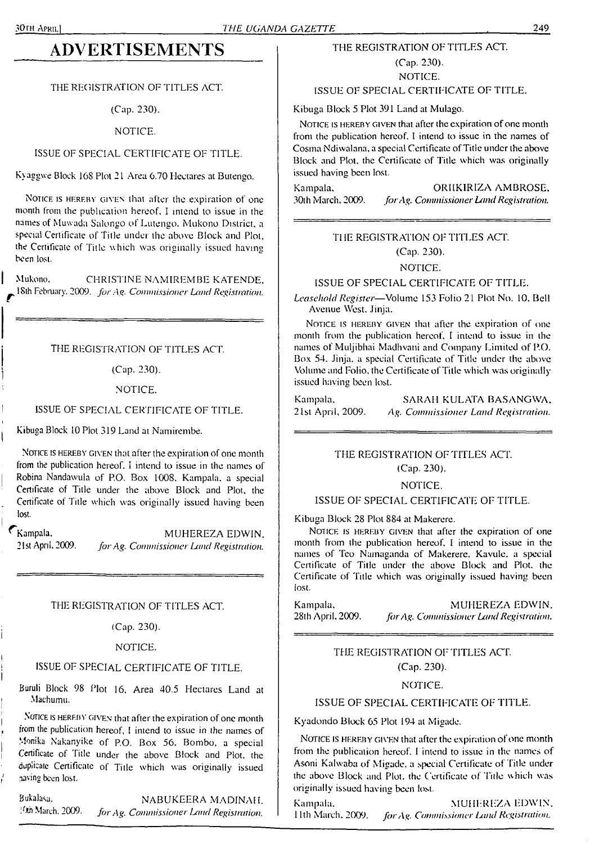## **ADVERTISEMENTS**

#### THE REGISTRATION OF TITLES ACT.

(Cap. 230).

NOTICE.

#### ISSUE OF SPECIAL CERTIFICATE OF TITLE.

Kyaggwe Block 168 Plot 2 <sup>1</sup> Area 6.70 Hectares at Butengo.

NOTICE IS HEREBY GIVEN that after the expiration of one month from the publication hereof. I intend to issue in the names of Muwada Salongo of Lutengo. Mukono District, a special Certificate of Title under the above Block and Plot, the Certificate of Title which was originally issued having been lost.

Mukono. CHRISTINE NAMIREMBE KATENDE. 18th February. 2009. *for*.4<sup>q</sup>. *Commissioner Land Registration.*

#### THE REGISTRATION OF TITLES ACT.

(Cap. 230).

#### NOTICE.

#### ISSUE OF SPECIAL CERTIFICATE OF TITLE.

Kibuga Block 10 Plot 319 Land at Namirembe.

NOTICE IS HEREBY GIVEN that after the expiration of one month from the publication hereof. I intend to issue in the names of Robina Nandawula of P.O. Box 1008. Kampala, a special Certificate of Title under the above Block and Plot, the Certificate of Title which was originally issued having been lost.

Kampala. MUHEREZA EDWIN. 21st April. 2009. *forAg. Commissioner Land Registration.*

#### THE REGISTRATION OF TITLES ACT.

(Cap. 230).

#### NOTICE.

#### ISSUE OF SPECIAL CERTIFICATE OF TITLE.

Buruli Block 98 Plot 16, Area 40.5 Hectares Land at Machumu.

NOTICE IS HEREBY GIVEN that after the expiration of one month from the publication hereof, <sup>I</sup> intend to issue in the names of Monika Nakanyike of P.O. Box 56, Bombo, a special Certificate of Title under the above Block and Plot, the duplicate Certificate of Title which was originally issued naving been lost.

Bukalasa. NABUKEERA MADINAH. /Xh March. 2009. *forAg. Commissioner l^and Registration.*

#### THE REGISTRATION OF TITLES ACT.

(Cap. 230). NOTICE.

#### ISSUE OF SPECIAL CERTIFICATE OF TITLE.

Kibuga Block 5 Plot 391 Land at Mulago.

NOTICE IS HEREBY GIVEN that after the expiration of one month from the publication hereof, <sup>I</sup> intend to issue in the names of Cosma Ndiwalana, a special Certificate of Title under the above Block and Plot, the Certificate of Title which was originally issued having been lost.

Kampala, ORllKIRIZA AMBROSE. 30th March. 2009. *forAg. Commissioner Land Registration.*

### THE REGISTRATION OF TITLES ACT.

(Cap. 230).

#### NOTICE.

ISSUE OF SPECIAL CERTIFICATE OF TITLE.

*Leasehold Register—*Volume 153 Folio 21 Plot No. 10. Bell Avenue West. Jinja.

NOTICE IS HEREBY GIVEN that after the expiration of one month from the publication hereof. I intend to issue in the names of Muljibhai Madhvani and Company Limited of P.O. Box 54. Jinja. a special Certificate of Title under the above Volume and Folio, the Certificate of Title which was originally issued having been lost.

| Kampala,          | SARAH KULATA BASANGWA               |
|-------------------|-------------------------------------|
| 21st April, 2009. | Ag. Commissioner Land Registration. |

#### THE REGISTRATION OF TITLES ACT. (Cap. 230).

#### NOTICE.

## ISSUE OF SPECIAL CERTIFICATE OF TITLE.

Kibuga Block 28 Plot 884 at Makerere.

Notice is hereby given that after the expiration of one month from the publication hereof. <sup>I</sup> intend to issue in the names of Teo Namaganda of Makerere. Kavule, a special Certificate of Title under the above Block and Plot, the Certificate of Title which was originally issued having been lost.

Kampala, MUHEREZA EDWIN. 28th April. 2009. *forAg. Commissioner Land Registration.*

#### THE REGISTRATION OF TITLES ACT (Cap. 230).

#### NOTICE.

#### ISSUE OF SPECIAL CERTIFICATE OF TITLE.

Kyadondo Block 65 Plot 194 at Migade.

NOTICE IS HEREBY GIVEN that after the expiration of one month from the publication hereof. <sup>I</sup> intend to issue in the names of Asoni Kalwaba of Migade. a special Certificate of Title under the above Block and Plot, the Certificate of Title which was originally issued having been lost.

Kampala. MUHEREZA EDWIN. 11th March. 2009. *forAg. Commissioner Umd Registration.*